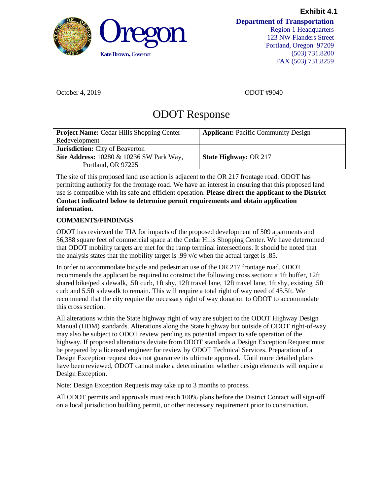

October 4, 2019 ODOT #9040

## ODOT Response

| <b>Project Name:</b> Cedar Hills Shopping Center<br>Redevelopment | <b>Applicant: Pacific Community Design</b> |
|-------------------------------------------------------------------|--------------------------------------------|
| <b>Jurisdiction:</b> City of Beaverton                            |                                            |
| <b>Site Address:</b> 10280 & 10236 SW Park Way,                   | <b>State Highway: OR 217</b>               |
| Portland, OR 97225                                                |                                            |

The site of this proposed land use action is adjacent to the OR 217 frontage road. ODOT has permitting authority for the frontage road. We have an interest in ensuring that this proposed land use is compatible with its safe and efficient operation. **Please direct the applicant to the District Contact indicated below to determine permit requirements and obtain application information.**

## **COMMENTS/FINDINGS**

ODOT has reviewed the TIA for impacts of the proposed development of 509 apartments and 56,388 square feet of commercial space at the Cedar Hills Shopping Center. We have determined that ODOT mobility targets are met for the ramp terminal intersections. It should be noted that the analysis states that the mobility target is .99 v/c when the actual target is .85.

In order to accommodate bicycle and pedestrian use of the OR 217 frontage road, ODOT recommends the applicant be required to construct the following cross section: a 1ft buffer, 12ft shared bike/ped sidewalk, .5ft curb, 1ft shy, 12ft travel lane, 12ft travel lane, 1ft shy, existing .5ft curb and 5.5ft sidewalk to remain. This will require a total right of way need of 45.5ft. We recommend that the city require the necessary right of way donation to ODOT to accommodate this cross section.

All alterations within the State highway right of way are subject to the ODOT Highway Design Manual (HDM) standards. Alterations along the State highway but outside of ODOT right-of-way may also be subject to ODOT review pending its potential impact to safe operation of the highway. If proposed alterations deviate from ODOT standards a Design Exception Request must be prepared by a licensed engineer for review by ODOT Technical Services. Preparation of a Design Exception request does not guarantee its ultimate approval. Until more detailed plans have been reviewed, ODOT cannot make a determination whether design elements will require a Design Exception.

Note: Design Exception Requests may take up to 3 months to process.

All ODOT permits and approvals must reach 100% plans before the District Contact will sign-off on a local jurisdiction building permit, or other necessary requirement prior to construction.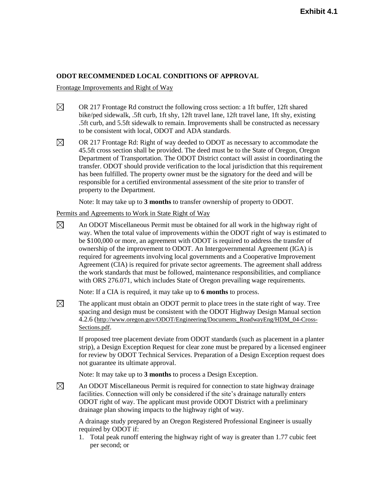## **ODOT RECOMMENDED LOCAL CONDITIONS OF APPROVAL**

## Frontage Improvements and Right of Way

- $\boxtimes$ OR 217 Frontage Rd construct the following cross section: a 1ft buffer, 12ft shared bike/ped sidewalk, .5ft curb, 1ft shy, 12ft travel lane, 12ft travel lane, 1ft shy, existing .5ft curb, and 5.5ft sidewalk to remain. Improvements shall be constructed as necessary to be consistent with local, ODOT and ADA standards.
- $\boxtimes$ OR 217 Frontage Rd: Right of way deeded to ODOT as necessary to accommodate the 45.5ft cross section shall be provided. The deed must be to the State of Oregon, Oregon Department of Transportation. The ODOT District contact will assist in coordinating the transfer. ODOT should provide verification to the local jurisdiction that this requirement has been fulfilled. The property owner must be the signatory for the deed and will be responsible for a certified environmental assessment of the site prior to transfer of property to the Department.

Note: It may take up to **3 months** to transfer ownership of property to ODOT.

Permits and Agreements to Work in State Right of Way

 $\boxtimes$ An ODOT Miscellaneous Permit must be obtained for all work in the highway right of way. When the total value of improvements within the ODOT right of way is estimated to be \$100,000 or more, an agreement with ODOT is required to address the transfer of ownership of the improvement to ODOT. An Intergovernmental Agreement (IGA) is required for agreements involving local governments and a Cooperative Improvement Agreement (CIA) is required for private sector agreements. The agreement shall address the work standards that must be followed, maintenance responsibilities, and compliance with ORS 276.071, which includes State of Oregon prevailing wage requirements.

Note: If a CIA is required, it may take up to **6 months** to process.

 $\boxtimes$ The applicant must obtain an ODOT permit to place trees in the state right of way. Tree spacing and design must be consistent with the ODOT Highway Design Manual section 4.2.6 ([http://www.oregon.gov/ODOT/Engineering/Documents\\_RoadwayEng/HDM\\_04-Cross-](http://www.oregon.gov/ODOT/Engineering/Documents_RoadwayEng/HDM_04-Cross-Sections.pdf)[Sections.pdf](http://www.oregon.gov/ODOT/Engineering/Documents_RoadwayEng/HDM_04-Cross-Sections.pdf).

If proposed tree placement deviate from ODOT standards (such as placement in a planter strip), a Design Exception Request for clear zone must be prepared by a licensed engineer for review by ODOT Technical Services. Preparation of a Design Exception request does not guarantee its ultimate approval.

Note: It may take up to **3 months** to process a Design Exception.

 $\boxtimes$ An ODOT Miscellaneous Permit is required for connection to state highway drainage facilities. Connection will only be considered if the site's drainage naturally enters ODOT right of way. The applicant must provide ODOT District with a preliminary drainage plan showing impacts to the highway right of way.

A drainage study prepared by an Oregon Registered Professional Engineer is usually required by ODOT if:

1. Total peak runoff entering the highway right of way is greater than 1.77 cubic feet per second; or